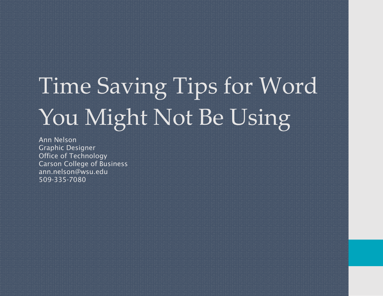# Time Saving Tips for Word You Might Not Be Using

Ann Nelson Graphic Designer Office of Technology Carson College of Business ann.nelson@wsu.edu 509-335-7080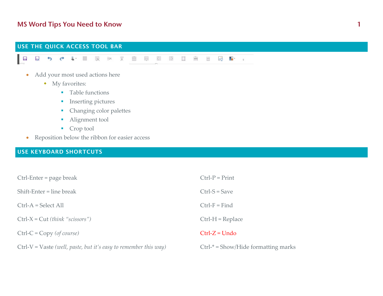# USE THE QUICK ACCESS TOOL BAR E **以っぺい目取 ※ 火曲甲固固口当当品品·** • Add your most used actions here My favorites: **Table functions Inserting pictures Changing color palettes**

- **Alignment tool**
- Crop tool
- Reposition below the ribbon for easier access

## USE KEYBOARD SHORTCUTS

| $Ctrl$ -Enter = page break                                         | $Ctrl-P = Print$                    |
|--------------------------------------------------------------------|-------------------------------------|
| $Shift-Enter = line break$                                         | $Ctrl-S = Save$                     |
| $Ctrl-A = Select All$                                              | $Ctrl-F = Find$                     |
| $Ctrl-X = Cut (think "scissors")$                                  | $Ctrl-H = Replace$                  |
| $Ctrl-C = Copy (of course)$                                        | $Ctrl-Z = Undo$                     |
| $Ctrl-V = Vaste$ (well, paste, but it's easy to remember this way) | $Ctrl$ = Show/Hide formatting marks |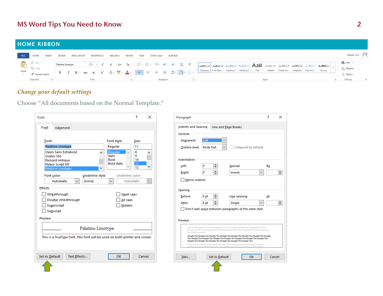#### HOME RIBBON

|                             |                   | FILE HOME INSERT DESIGN PAGELAYOUT REFERENCES MAILINGS REVIEW VIEW                                                                                                                                                                                                                                                                                                                                                                                                                              |  |  |  | DYMO Label |           | <b>ACROBAT</b> |  |                                                                                                                                                                                                                                                                                                                                                                                                                                                                              | Nelson, Ann - O                                   |
|-----------------------------|-------------------|-------------------------------------------------------------------------------------------------------------------------------------------------------------------------------------------------------------------------------------------------------------------------------------------------------------------------------------------------------------------------------------------------------------------------------------------------------------------------------------------------|--|--|--|------------|-----------|----------------|--|------------------------------------------------------------------------------------------------------------------------------------------------------------------------------------------------------------------------------------------------------------------------------------------------------------------------------------------------------------------------------------------------------------------------------------------------------------------------------|---------------------------------------------------|
| <b>A</b><br><br>Paste<br>   | Palatino Linotype | <b>B</b> $I$ $\sqcup$ $\cdot$ abs $x_2$ $x^2$ $\bigwedge \cdot \frac{dy}{dx}$ $\cdot$ $\bigwedge \cdot \cdot \cdot$ $\bigwedge \cdot \cdot \cdot$ $\bigwedge \cdot \cdot \cdot$ $\bigwedge \cdot \cdot \cdot \cdot$ $\bigwedge \cdot \cdot \cdot$ $\bigwedge \cdot \cdot \cdot \cdot$ $\bigwedge \cdot \cdot \cdot \cdot$ $\bigwedge \cdot \cdot \cdot \cdot$ $\bigwedge \cdot \cdot \cdot \cdot \cdot$ $\bigwedge \cdot \cdot \cdot \cdot \cdot$ $\bigwedge \cdot \cdot \cdot \cdot \cdot$ $\$ |  |  |  |            |           |                |  | $\sqrt{11}$ of $\overline{A}$ as $\frac{1}{2}$ $\overline{E}$ $\overline{E}$ $\overline{E}$ $\overline{E}$ $\overline{E}$ $\overline{E}$ $\overline{E}$ $\overline{E}$ $\overline{E}$ $\overline{E}$ $\overline{E}$ $\overline{E}$ $\overline{E}$ $\overline{E}$ $\overline{E}$ $\overline{E}$ $\overline{E}$ $\overline{E}$ $\overline{E}$ $\overline{E}$ $\overline{E}$<br>   1 Normal    1 No Spac Heading 1 Heading 2 Title Subtitle Subtle Em Emphasis Intense E Strong | i <sup>n</sup> ⊪ Find ▼<br>$rac{ab}{4ac}$ Replace |
| Format Painter<br>Clipboard |                   |                                                                                                                                                                                                                                                                                                                                                                                                                                                                                                 |  |  |  |            | Paragraph |                |  | Styles                                                                                                                                                                                                                                                                                                                                                                                                                                                                       | Select -<br>Editing                               |

## *Change your default settings*

Choose "All documents based on the Normal Template."

| Font                                                                        | 7       | $\times$     |
|-----------------------------------------------------------------------------|---------|--------------|
| Font<br>Advanced                                                            |         |              |
|                                                                             |         |              |
| Font:<br>Font style:                                                        | Size:   |              |
| Palatino Linotype<br>Regular                                                | 11      |              |
| <b>Regular</b><br>Open Sans Extrabold<br>$\mathcal{N}_n$<br>۸               | 8       |              |
| <b>Italic</b><br><b>Orator Std</b><br><b>Bold</b><br><b>Packard Antique</b> | 9<br>10 |              |
| <b>Bold Italic</b><br><b>Palace Script MT</b>                               | 11      |              |
| Palatino Linotype                                                           | 12      | v            |
| Underline style:<br>Underline color:<br>Font color:                         |         |              |
| Automatic<br>Automatic<br>(none)<br>✓                                       |         | $\checkmark$ |
| <b>Effects</b>                                                              |         |              |
| Strikethrough<br><b>Small caps</b>                                          |         |              |
|                                                                             |         |              |
| All caps<br>Double strikethrough                                            |         |              |
| Hidden<br>Superscript                                                       |         |              |
| Subscript                                                                   |         |              |
| Preview                                                                     |         |              |
|                                                                             |         |              |
| Palatino Linotype                                                           |         |              |
| This is a TrueType font. This font will be used on both printer and screen. |         |              |
|                                                                             |         |              |
|                                                                             |         |              |
|                                                                             |         |              |
| OK<br>Set As Default<br>Text Effects                                        |         | Cancel       |
|                                                                             |         |              |

| <b>Indents and Spacing</b> |                  | <b>Line and Page Breaks</b>                                                                                                                                                                                                                                                 |              |  |
|----------------------------|------------------|-----------------------------------------------------------------------------------------------------------------------------------------------------------------------------------------------------------------------------------------------------------------------------|--------------|--|
| General                    |                  |                                                                                                                                                                                                                                                                             |              |  |
| Alignment:                 | Left             |                                                                                                                                                                                                                                                                             |              |  |
| Outline level:             | <b>Body Text</b> | Collapsed by default                                                                                                                                                                                                                                                        |              |  |
| Indentation                |                  |                                                                                                                                                                                                                                                                             |              |  |
| Left:                      | 0"               | Special:                                                                                                                                                                                                                                                                    | By:          |  |
| Right:                     | ÷<br>0.          | (none)                                                                                                                                                                                                                                                                      |              |  |
| Spacing<br>Before:         | 0 <sub>pt</sub>  | Line spacing:                                                                                                                                                                                                                                                               | At:          |  |
|                            |                  |                                                                                                                                                                                                                                                                             |              |  |
| After:                     | 6 <sub>pt</sub>  | Single                                                                                                                                                                                                                                                                      | $\checkmark$ |  |
|                            |                  | Don't add space between paragraphs of the same style                                                                                                                                                                                                                        |              |  |
| Preview                    |                  |                                                                                                                                                                                                                                                                             |              |  |
| Previous Paragraph         |                  | Previous Paragraph Previous Paragraph Previous Paragraph Previous Paragraph Previous<br>Paragraph Previous Paragraph Previous Paragraph Previous Paragraph Previous Paragraph<br>Sample Text Sample Text Sample Text Sample Text Sample Text Sample Text Sample Text Sample |              |  |
|                            |                  | Text Sample Text Sample Text Sample Text Sample Text Sample Text Sample Text Sample Text<br>Sample Text Sample Text Sample Text Sample Text Sample Text Sample Text<br>Following Paragraph Following Paragraph Following Paragraph Following Paragraph                      |              |  |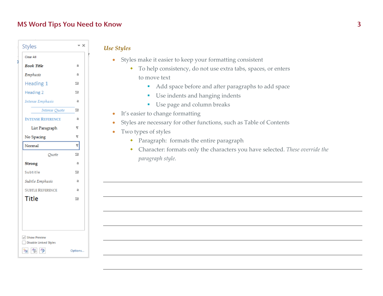| Styles                   | – ×           |
|--------------------------|---------------|
| Clear All                |               |
| <b>Book Title</b>        | a             |
| Emphasis                 | a             |
| Heading 1                | 1ia           |
| Heading 2                | 13            |
| Intense Emphasis         | a             |
| <b>Intense Quote</b>     | 1a            |
| <b>INTENSE REFERENCE</b> | a             |
| List Paragraph           | T             |
| No Spacing               | T             |
| Normal                   | T             |
| Ouote                    | 1a            |
| <b>Strong</b>            | ā             |
| Subtitle                 | $\mathbf{13}$ |
| Subtle Emphasis          | a             |
| <b>SUBTLE REFERENCE</b>  | a             |
| <b>Title</b>             | ffä           |
|                          |               |
|                          |               |
|                          |               |
| V Show Preview           |               |
| Disable Linked Styles    |               |

*Use Styles*

- Styles make it easier to keep your formatting consistent
	- To help consistency, do not use extra tabs, spaces, or enters to move text
		- **Add space before and after paragraphs to add space**
		- **Use indents and hanging indents**
		- **Use page and column breaks**
- $\bullet$ It's easier to change formatting
- 0 Styles are necessary for other functions, such as Table of Contents
- $\bullet$  Two types of styles
	- Paragraph: formats the entire paragraph
	- Character: formats only the characters you have selected. *These override the paragraph style.*

祖生学

Options...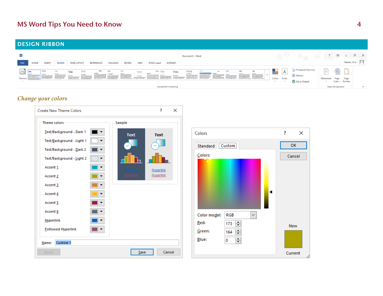#### DESIGN RIBBON



#### *Change your colors*

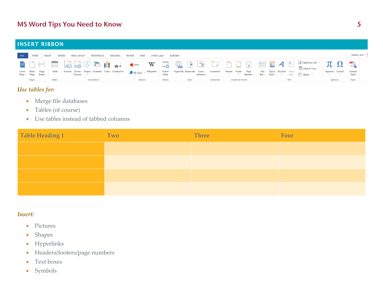#### INSERT RIBBON

|       |        | FILE HOME INSERT DESIGN PAGE LAYOUT<br><b>REFERENCES</b> | MAILINGS<br><b>REVIEW</b> | VIEW    | DYMO Label ACROBAT |       |          |                 |                                                                                                                                                                                                                                |                       | Nelson, Ann - |
|-------|--------|----------------------------------------------------------|---------------------------|---------|--------------------|-------|----------|-----------------|--------------------------------------------------------------------------------------------------------------------------------------------------------------------------------------------------------------------------------|-----------------------|---------------|
|       |        |                                                          |                           |         |                    |       |          |                 | BHERO DE COMPANIED DA ESSIGNATION TO                                                                                                                                                                                           |                       |               |
|       |        |                                                          |                           |         |                    |       |          |                 | Cover Blank Page Table Pictures Online Shapes SmartArt Chart Screenshot MyApps Wikipedia Online Hyperlink Bookmark Cross- Comment Header Footer Page Text Quick WordArt Drop ( The Open Total Page of The Open Total Page of T | Equation Symbol Embed | Flash         |
| Pages | Tables | <b>Illustrations</b>                                     |                           | Add-ins | Media              | Links | Comments | Header & Footer | Text                                                                                                                                                                                                                           | Symbols               | Flash         |

#### *Use tables for:*

- Merge file databases
- $\bullet$ Tables (of course)
- $\bullet$ Use tables instead of tabbed columns

| Table Heading 1 | Two | <b>Three</b> | Four |
|-----------------|-----|--------------|------|
|                 |     |              |      |
|                 |     |              |      |
|                 |     |              |      |
|                 |     |              |      |

#### *Insert:*

- $\bullet$ Pictures
- $\bullet$ Shapes
- $\bullet$ Hyperlinks
- $\bullet$ Headers/footers/page numbers
- $\bullet$ Text boxes
- Symbols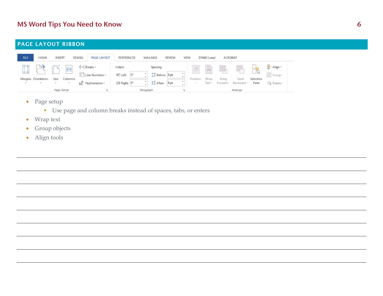#### PAGE LAYOUT RIBBON

| <b>FILE</b> | HOME                                 | INSERT                               | DESIGN<br>PAGE LAYOUT                                                                              | <b>REFERENCES</b>                                | <b>MAILINGS</b>                                                                  | REVIEW | VIEW                      | DYMO Label          | ACROBAT |                                                |                   |                                                        |
|-------------|--------------------------------------|--------------------------------------|----------------------------------------------------------------------------------------------------|--------------------------------------------------|----------------------------------------------------------------------------------|--------|---------------------------|---------------------|---------|------------------------------------------------|-------------------|--------------------------------------------------------|
|             | Margins Orientation<br>$\rightarrow$ | E<br>∣⊾<br>Size<br>Columns<br>$\sim$ | <b>Ereaks</b> *<br>Line Numbers -<br>$\mathrm{b}^\mathrm{B^-}_\mathsf{C}$ Hyphenation $\mathrm{v}$ | Indent<br>$0^*$<br>王 Left:<br>$E +$ Right: $0^*$ | Spacing<br>1 Before: 0 pt<br>$\Delta$<br>$\frac{1}{2}$ After:<br>$\mathcal{A}_1$ | 8 pt   | ia.<br>$\sim$<br>Position | Ë<br>Wrap<br>Text - | Bring   | $\overline{a}$<br>Send<br>Forward - Backward - | Selection<br>Pane | $\leftarrow$ Align $\sim$<br>idi Group ™<br>△ Rotate - |
|             |                                      | Page Setup                           | Гä.                                                                                                |                                                  | Paragraph                                                                        |        | Г <u>э</u>                |                     |         | Arrange                                        |                   |                                                        |

- Page setup
	- Use page and column breaks instead of spaces, tabs, or enters
- $\bullet$ Wrap text
- $\bullet$ Group objects
- Align tools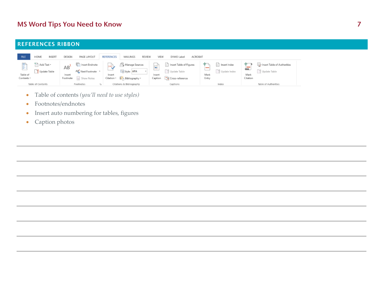#### REFERENCES RIBBON

| <b>FILE</b>                 | HOME                       | INSERT | DESIGN                   | PAGE LAYOUT                                                     | <b>REFERENCES</b>    | MAILINGS<br>REVIEW                             | VIEW                           | DYMO Label                                                                               | ACROBAT       |                             |                  |                                                |  |
|-----------------------------|----------------------------|--------|--------------------------|-----------------------------------------------------------------|----------------------|------------------------------------------------|--------------------------------|------------------------------------------------------------------------------------------|---------------|-----------------------------|------------------|------------------------------------------------|--|
| 国<br>Table of<br>Contents - | Add Text v<br>Update Table |        | AB<br>Insert<br>Footnote | <b>The Insert Endnote</b><br>AR Next Footnote *<br>- Show Notes | Insert<br>Citation - | Manage Sources<br>Style: APA<br>Bibliography * | 盛<br>____<br>Insert<br>Caption | nsert Table of Figures<br>$\overline{\phantom{a}}$<br>Update Table<br>그와 Cross-reference | Mark<br>Entry | nsert Index<br>Update Index | Mark<br>Citation | En Insert Table of Authorities<br>Update Table |  |
|                             | Table of Contents          |        |                          | Footnotes                                                       |                      | Citations & Bibliography                       |                                | Captions                                                                                 |               | Index                       |                  | Table of Authorities                           |  |

- $\bullet$ Table of contents *(you'll need to use styles)*
- $\bullet$ Footnotes/endnotes
- $\bullet$ • Insert auto numbering for tables, figures
- Caption photos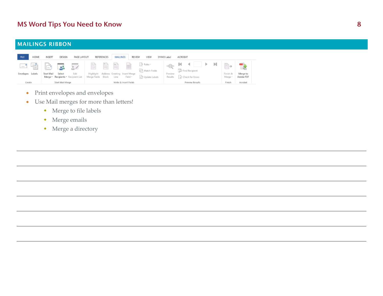#### MAILINGS RIBBON

| <b>FILE</b>             | HOME | INSERT     | DESIGN               | PAGE LAYOUT                                      |                         | REFERENCES | MAILINGS  |                                                         | <b>REVIEW</b><br>VIEW                         | DYMO Label                | ACROBAT                              |   |                         |                       |
|-------------------------|------|------------|----------------------|--------------------------------------------------|-------------------------|------------|-----------|---------------------------------------------------------|-----------------------------------------------|---------------------------|--------------------------------------|---|-------------------------|-----------------------|
| $=$<br>Envelopes Labels | Léi  | Start Mail | <b>IRC</b><br>Select | 财<br>Edit<br>Merge v Recipients v Recipient List | Ë<br>Merge Fields Block | Ħ          | Ë<br>Line | e<br>Highlight Address Greeting Insert Merge<br>Field - | 7 Rules v<br>무옥 Match Fields<br>Update Labels | «®»<br>Preview<br>Results | O Find Recipient<br>Check for Errors | н | r.<br>Finish &<br>Merge | Merge to<br>Adobe PDF |
| Create                  |      |            | Start Mail Merge     |                                                  |                         |            |           | Write & Insert Fields                                   |                                               |                           | Preview Results                      |   | Finish                  | Acrobat               |

- Print envelopes and envelopes
- $\bullet$  Use Mail merges for more than letters!
	- Merge to file labels
	- Merge emails
	- Merge a directory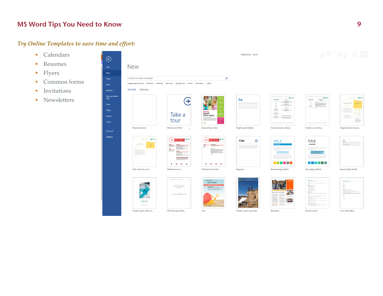### *Try Online Templates to save time and effort:*

- Calendars
- •Resumes
- •Flyers
- •Common forms
- •Invitations
- •Newsletters